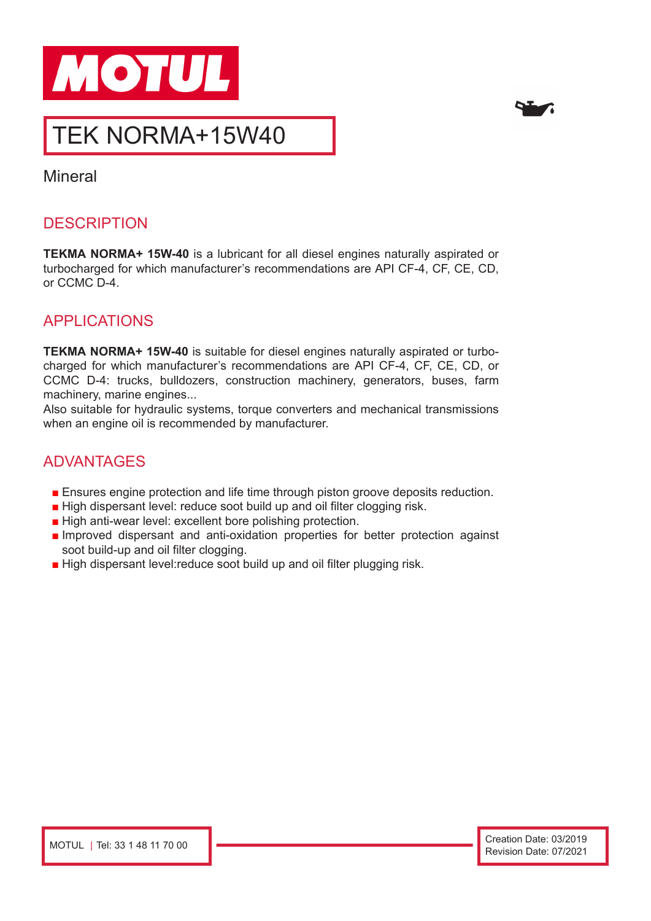



# TEK NORMA+15W40

Mineral

# **DESCRIPTION**

**TEKMA NORMA+ 15W-40** is a lubricant for all diesel engines naturally aspirated or turbocharged for which manufacturer's recommendations are API CF-4, CF, CE, CD, or CCMC D-4.

# APPLICATIONS

**TEKMA NORMA+ 15W-40** is suitable for diesel engines naturally aspirated or turbocharged for which manufacturer's recommendations are API CF-4, CF, CE, CD, or CCMC D-4: trucks, bulldozers, construction machinery, generators, buses, farm machinery, marine engines...

Also suitable for hydraulic systems, torque converters and mechanical transmissions when an engine oil is recommended by manufacturer.

### ADVANTAGES

- Ensures engine protection and life time through piston groove deposits reduction.
- High dispersant level: reduce soot build up and oil filter clogging risk.
- High anti-wear level: excellent bore polishing protection.
- Improved dispersant and anti-oxidation properties for better protection against soot build-up and oil filter clogging.
- High dispersant level:reduce soot build up and oil filter plugging risk.